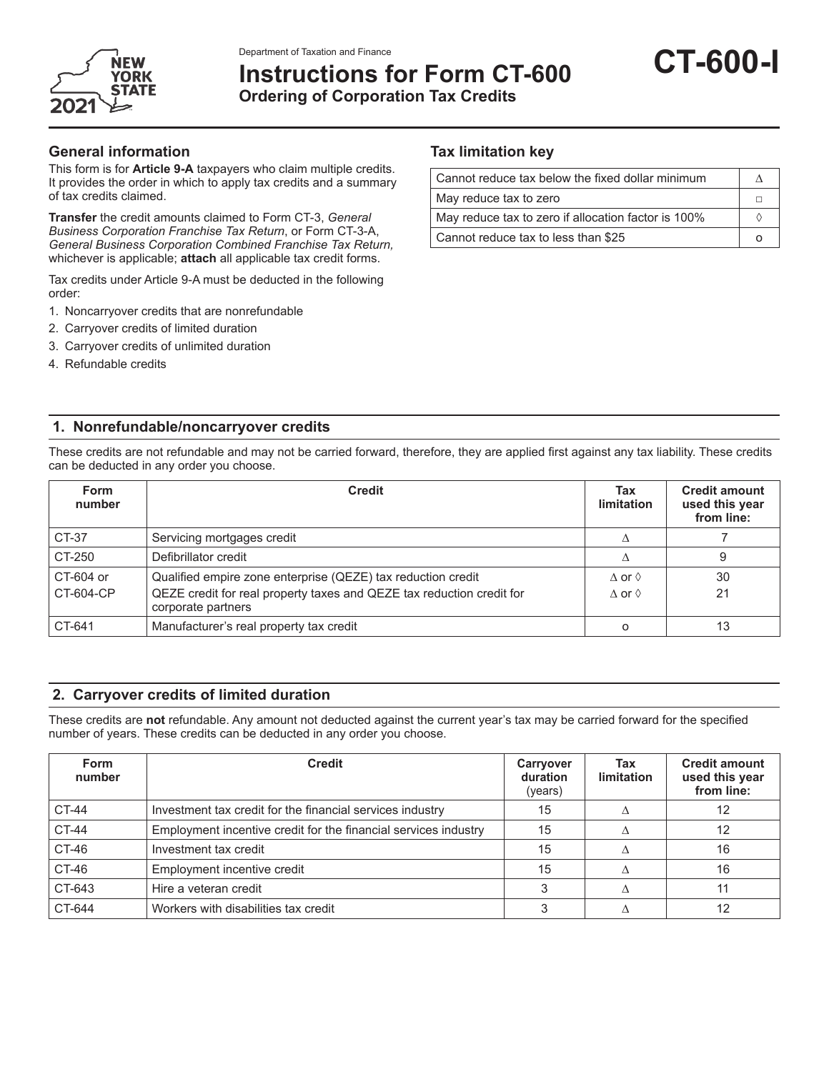

# **Instructions for Form CT-600 Ordering of Corporation Tax Credits**

#### **General information**

This form is for **Article 9-A** taxpayers who claim multiple credits. It provides the order in which to apply tax credits and a summary of tax credits claimed.

**Transfer** the credit amounts claimed to Form CT-3, *General Business Corporation Franchise Tax Return*, or Form CT-3-A, *General Business Corporation Combined Franchise Tax Return,* whichever is applicable; **attach** all applicable tax credit forms.

Tax credits under Article 9-A must be deducted in the following order:

- 1. Noncarryover credits that are nonrefundable
- 2. Carryover credits of limited duration
- 3. Carryover credits of unlimited duration
- 4. Refundable credits

#### **Tax limitation key**

| Cannot reduce tax below the fixed dollar minimum    |  |
|-----------------------------------------------------|--|
| May reduce tax to zero                              |  |
| May reduce tax to zero if allocation factor is 100% |  |
| Cannot reduce tax to less than \$25                 |  |

#### **1. Nonrefundable/noncarryover credits**

These credits are not refundable and may not be carried forward, therefore, they are applied first against any tax liability. These credits can be deducted in any order you choose.

| <b>Form</b><br>number | <b>Credit</b>                                                                               | Tax<br>limitation      | <b>Credit amount</b><br>used this year<br>from line: |
|-----------------------|---------------------------------------------------------------------------------------------|------------------------|------------------------------------------------------|
| CT-37                 | Servicing mortgages credit                                                                  |                        |                                                      |
| CT-250                | Defibrillator credit                                                                        |                        | 9                                                    |
| CT-604 or             | Qualified empire zone enterprise (QEZE) tax reduction credit                                | $\wedge$ or $\Diamond$ | 30                                                   |
| CT-604-CP             | QEZE credit for real property taxes and QEZE tax reduction credit for<br>corporate partners | $\wedge$ or $\Diamond$ | 21                                                   |
| CT-641                | Manufacturer's real property tax credit                                                     | $\Omega$               | 13                                                   |

#### **2. Carryover credits of limited duration**

These credits are **not** refundable. Any amount not deducted against the current year's tax may be carried forward for the specified number of years. These credits can be deducted in any order you choose.

| <b>Form</b><br>number | <b>Credit</b>                                                   | Carryover<br>duration<br>(years) | Tax<br>limitation | <b>Credit amount</b><br>used this year<br>from line: |
|-----------------------|-----------------------------------------------------------------|----------------------------------|-------------------|------------------------------------------------------|
| CT-44                 | Investment tax credit for the financial services industry       | 15                               |                   | 12                                                   |
| <b>CT-44</b>          | Employment incentive credit for the financial services industry | 15                               |                   |                                                      |
| CT-46                 | Investment tax credit                                           | 15                               |                   | 16                                                   |
| CT-46                 | Employment incentive credit                                     | 15                               |                   | 16                                                   |
| CT-643                | Hire a veteran credit                                           |                                  |                   |                                                      |
| CT-644                | Workers with disabilities tax credit                            |                                  |                   | 12                                                   |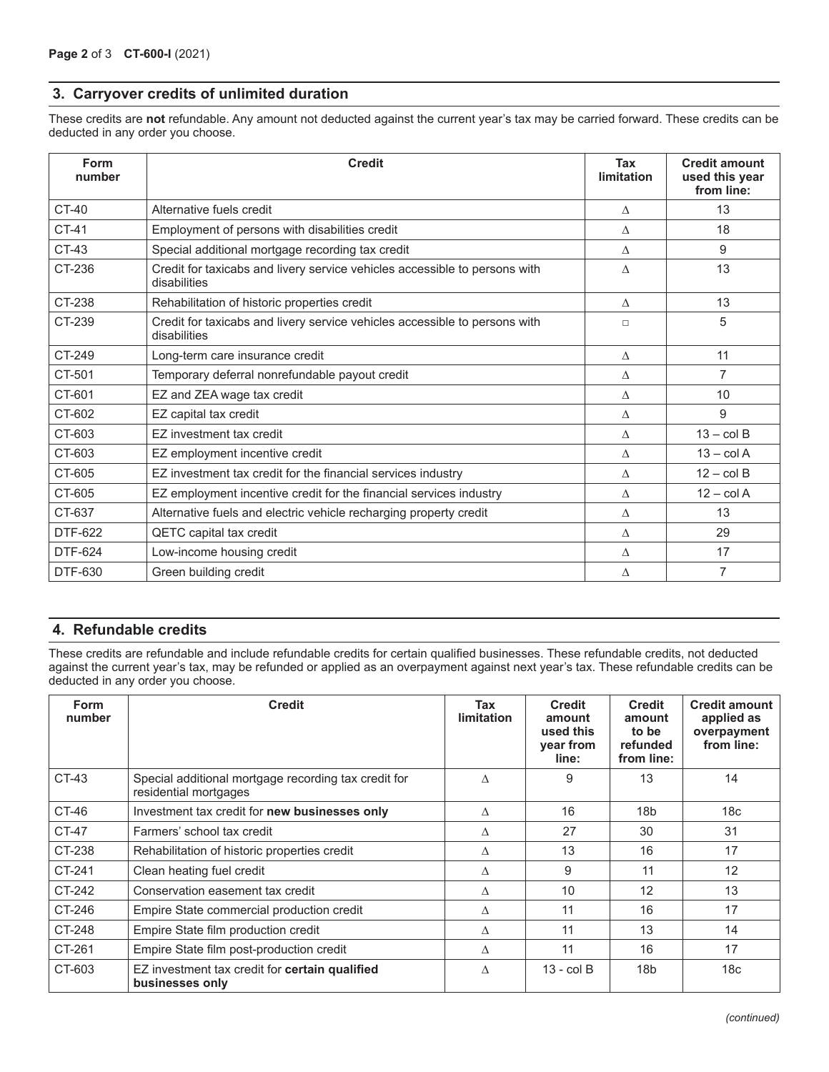#### **3. Carryover credits of unlimited duration**

These credits are **not** refundable. Any amount not deducted against the current year's tax may be carried forward. These credits can be deducted in any order you choose.

| Form<br>number | <b>Credit</b>                                                                              | Tax<br>limitation | <b>Credit amount</b><br>used this year<br>from line: |
|----------------|--------------------------------------------------------------------------------------------|-------------------|------------------------------------------------------|
| $CT-40$        | Alternative fuels credit                                                                   | Λ                 | 13                                                   |
| CT-41          | Employment of persons with disabilities credit                                             | Λ                 | 18                                                   |
| CT-43          | Special additional mortgage recording tax credit                                           | Λ                 | 9                                                    |
| CT-236         | Credit for taxicabs and livery service vehicles accessible to persons with<br>disabilities | Λ                 | 13                                                   |
| CT-238         | Rehabilitation of historic properties credit                                               | $\wedge$          | 13                                                   |
| CT-239         | Credit for taxicabs and livery service vehicles accessible to persons with<br>disabilities | $\Box$            | 5                                                    |
| CT-249         | Long-term care insurance credit                                                            | $\wedge$          | 11                                                   |
| CT-501         | Temporary deferral nonrefundable payout credit                                             | Λ                 | $\overline{7}$                                       |
| CT-601         | EZ and ZEA wage tax credit                                                                 | Δ                 | 10                                                   |
| CT-602         | EZ capital tax credit                                                                      | Δ                 | 9                                                    |
| CT-603         | FZ investment tax credit                                                                   | Λ                 | $13 - \text{col } B$                                 |
| CT-603         | EZ employment incentive credit                                                             | Λ                 | $13 - \text{col } A$                                 |
| CT-605         | EZ investment tax credit for the financial services industry                               | Δ                 | $12 - \text{col } B$                                 |
| CT-605         | EZ employment incentive credit for the financial services industry                         | Λ                 | $12 - \text{col } A$                                 |
| CT-637         | Alternative fuels and electric vehicle recharging property credit                          | Λ                 | 13                                                   |
| DTF-622        | QETC capital tax credit                                                                    | Λ                 | 29                                                   |
| <b>DTF-624</b> | Low-income housing credit                                                                  | Δ                 | 17                                                   |
| DTF-630        | Green building credit                                                                      | Δ                 | $\overline{7}$                                       |

#### **4. Refundable credits**

These credits are refundable and include refundable credits for certain qualified businesses. These refundable credits, not deducted against the current year's tax, may be refunded or applied as an overpayment against next year's tax. These refundable credits can be deducted in any order you choose.

| <b>Form</b><br>number | <b>Credit</b>                                                                 | Tax<br><b>limitation</b> | <b>Credit</b><br>amount<br>used this<br>year from<br>line: | <b>Credit</b><br>amount<br>to be<br>refunded<br>from line: | <b>Credit amount</b><br>applied as<br>overpayment<br>from line: |
|-----------------------|-------------------------------------------------------------------------------|--------------------------|------------------------------------------------------------|------------------------------------------------------------|-----------------------------------------------------------------|
| CT-43                 | Special additional mortgage recording tax credit for<br>residential mortgages | $\wedge$                 | 9                                                          | 13                                                         | 14                                                              |
| CT-46                 | Investment tax credit for new businesses only                                 | $\Lambda$                | 16                                                         | 18 <sub>b</sub>                                            | 18 <sub>c</sub>                                                 |
| CT-47                 | Farmers' school tax credit                                                    | $\wedge$                 | 27                                                         | 30                                                         | 31                                                              |
| CT-238                | Rehabilitation of historic properties credit                                  | Δ                        | 13                                                         | 16                                                         | 17                                                              |
| CT-241                | Clean heating fuel credit                                                     | Λ                        | 9                                                          | 11                                                         | 12                                                              |
| CT-242                | Conservation easement tax credit                                              | Δ                        | 10                                                         | 12                                                         | 13                                                              |
| CT-246                | Empire State commercial production credit                                     | Δ                        | 11                                                         | 16                                                         | 17                                                              |
| CT-248                | Empire State film production credit                                           | Δ                        | 11                                                         | 13                                                         | 14                                                              |
| CT-261                | Empire State film post-production credit                                      | Л                        | 11                                                         | 16                                                         | 17                                                              |
| CT-603                | EZ investment tax credit for certain qualified<br>businesses only             | Δ                        | $13 - \text{col } B$                                       | 18 <sub>b</sub>                                            | 18 <sub>c</sub>                                                 |